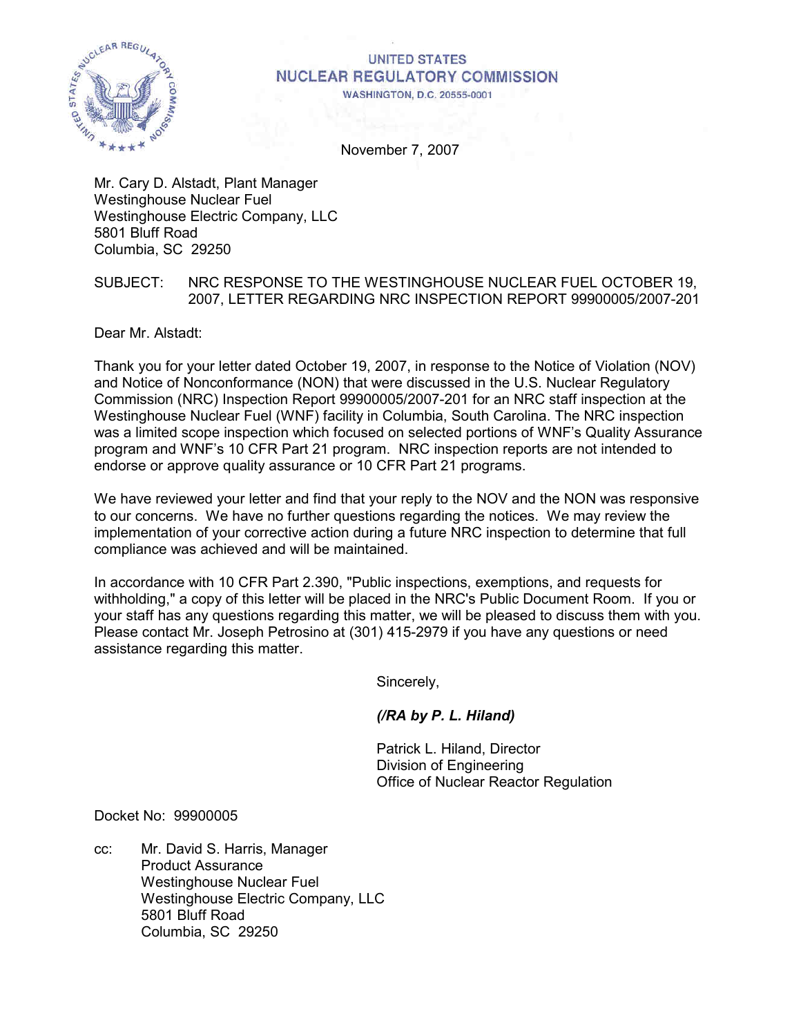

### **UNITED STATES NUCLEAR REGULATORY COMMISSION WASHINGTON, D.C. 20555-0001**

November 7, 2007

Mr. Cary D. Alstadt, Plant Manager Westinghouse Nuclear Fuel Westinghouse Electric Company, LLC 5801 Bluff Road Columbia, SC 29250

## SUBJECT: NRC RESPONSE TO THE WESTINGHOUSE NUCLEAR FUEL OCTOBER 19, 2007, LETTER REGARDING NRC INSPECTION REPORT 99900005/2007-201

Dear Mr. Alstadt:

Thank you for your letter dated October 19, 2007, in response to the Notice of Violation (NOV) and Notice of Nonconformance (NON) that were discussed in the U.S. Nuclear Regulatory Commission (NRC) Inspection Report 99900005/2007-201 for an NRC staff inspection at the Westinghouse Nuclear Fuel (WNF) facility in Columbia, South Carolina. The NRC inspection was a limited scope inspection which focused on selected portions of WNF's Quality Assurance program and WNF's 10 CFR Part 21 program. NRC inspection reports are not intended to endorse or approve quality assurance or 10 CFR Part 21 programs.

We have reviewed your letter and find that your reply to the NOV and the NON was responsive to our concerns. We have no further questions regarding the notices. We may review the implementation of your corrective action during a future NRC inspection to determine that full compliance was achieved and will be maintained.

In accordance with 10 CFR Part 2.390, "Public inspections, exemptions, and requests for withholding," a copy of this letter will be placed in the NRC's Public Document Room. If you or your staff has any questions regarding this matter, we will be pleased to discuss them with you. Please contact Mr. Joseph Petrosino at (301) 415-2979 if you have any questions or need assistance regarding this matter.

Sincerely,

# *(/RA by P. L. Hiland)*

 Patrick L. Hiland, Director Division of Engineering Office of Nuclear Reactor Regulation

Docket No: 99900005

cc: Mr. David S. Harris, Manager Product Assurance Westinghouse Nuclear Fuel Westinghouse Electric Company, LLC 5801 Bluff Road Columbia, SC 29250